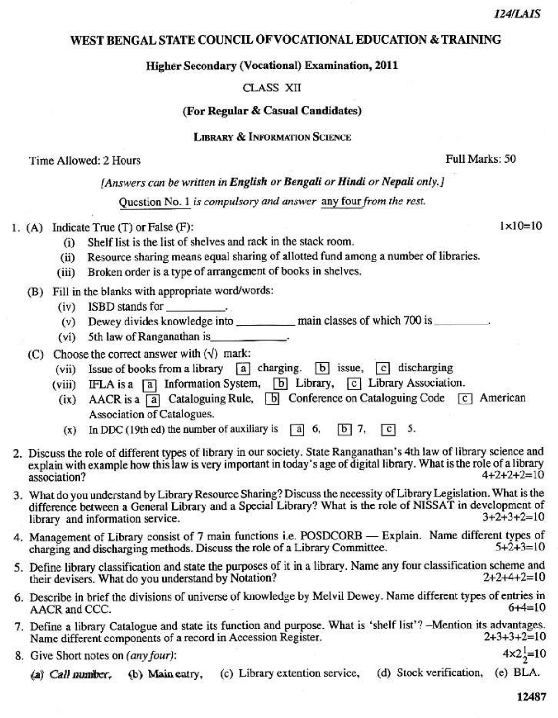### WEST BENGAL STATE COUNCIL OF VOCATIONAL EDUCATION & TRAINING

### **Higher Secondary (Vocational) Examination, 2011**

# CLASS XII

### (For Regular & Casual Candidates)

# **LIBRARY & INFORMATION SCIENCE**

### Time Allowed: 2 Hours

# [Answers can be written in English or Bengali or Hindi or Nepali only.]

Ouestion No. 1 is compulsory and answer any four from the rest.

# 1.  $(A)$  Indicate True  $(T)$  or False  $(F)$ :

- Shelf list is the list of shelves and rack in the stack room.  $(i)$
- (ii) Resource sharing means equal sharing of allotted fund among a number of libraries.
- $(iii)$ Broken order is a type of arrangement of books in shelves.
- (B) Fill in the blanks with appropriate word/words:
	- $(iv)$  ISBD stands for
	- (v) Dewey divides knowledge into \_\_\_\_\_\_\_\_\_\_\_\_ main classes of which 700 is \_\_\_\_\_\_\_.
	- (vi) 5th law of Ranganathan is

# (C) Choose the correct answer with  $(\sqrt{})$  mark:

- (vii) Issue of books from a library [a] charging. [b] issue,  $\boxed{c}$  discharging
- (viii) IFLA is a [a] Information System, [b] Library, [c] Library Association.
- (ix) AACR is a [a] Cataloguing Rule, [b] Conference on Cataloguing Code  $\lceil c \rceil$  American Association of Catalogues.
- (x) In DDC (19th ed) the number of auxiliary is  $\boxed{a}$  6,  $\overline{b}$  7, 5.  $|c|$
- 2. Discuss the role of different types of library in our society. State Ranganathan's 4th law of library science and explain with example how this law is very important in today's age of digital library. What is the role of a library  $4+2+2+2=10$ association?
- 3. What do you understand by Library Resource Sharing? Discuss the necessity of Library Legislation. What is the difference between a General Library and a Special Library? What is the role of NISSAT in development of  $3+2+3+2=10$ library and information service.
- 4. Management of Library consist of 7 main functions i.e. POSDCORB Explain. Name different types of charging and discharging methods. Discuss the role of a Library Committee.  $5 + 2 + 3 = 10$
- 5. Define library classification and state the purposes of it in a library. Name any four classification scheme and  $2+2+4+2=10$ their devisers. What do you understand by Notation?
- 6. Describe in brief the divisions of universe of knowledge by Melvil Dewey. Name different types of entries in  $6 + 4 = 10$ AACR and CCC.
- 7. Define a library Catalogue and state its function and purpose. What is 'shelf list'? -Mention its advantages. Name different components of a record in Accession Register.  $2+3+3+2=10$
- 8. Give Short notes on (any four):
	- (a) Call number, (b) Main entry, (c) Library extention service, (d) Stock verification, (e) BLA.

 $4 \times 2^{1}_{2} = 10$ 

Full Marks: 50

 $1 \times 10 = 10$